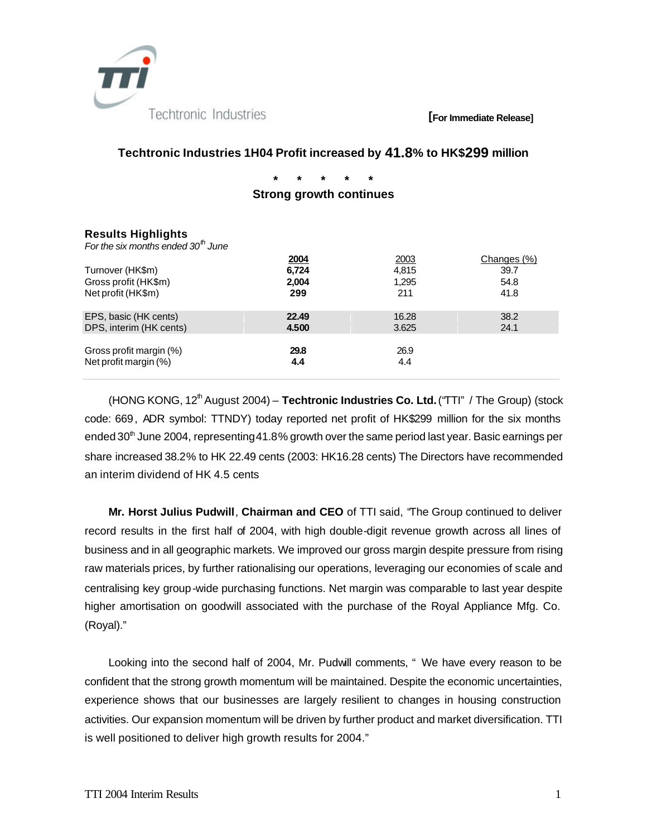

#### **[For Immediate Release]**

## **Techtronic Industries 1H04 Profit increased by 41.8% to HK\$299 million**

**\* \* \* \* \* Strong growth continues** 

## **Results Highlights**

*For the six months ended 30th June* 

| Turnover (HK\$m)<br>Gross profit (HK\$m)<br>Net profit (HK\$m) | 2004<br>6,724<br>2,004<br>299 | 2003<br>4.815<br>1,295<br>211 | Changes (%)<br>39.7<br>54.8<br>41.8 |
|----------------------------------------------------------------|-------------------------------|-------------------------------|-------------------------------------|
| EPS, basic (HK cents)                                          | 22.49                         | 16.28                         | 38.2                                |
| DPS, interim (HK cents)                                        | 4.500                         | 3.625                         | 24.1                                |
| Gross profit margin (%)                                        | 29.8                          | 26.9                          |                                     |
| Net profit margin (%)                                          | 4.4                           | 4.4                           |                                     |

(HONG KONG, 12<sup>th</sup> August 2004) – **Techtronic Industries Co. Ltd.** ("TTI" / The Group) (stock code: 669, ADR symbol: TTNDY) today reported net profit of HK\$299 million for the six months ended 30<sup>th</sup> June 2004, representing 41.8% growth over the same period last year. Basic earnings per share increased 38.2% to HK 22.49 cents (2003: HK16.28 cents) The Directors have recommended an interim dividend of HK 4.5 cents

**Mr. Horst Julius Pudwill**, **Chairman and CEO** of TTI said, "The Group continued to deliver record results in the first half of 2004, with high double-digit revenue growth across all lines of business and in all geographic markets. We improved our gross margin despite pressure from rising raw materials prices, by further rationalising our operations, leveraging our economies of scale and centralising key group-wide purchasing functions. Net margin was comparable to last year despite higher amortisation on goodwill associated with the purchase of the Royal Appliance Mfg. Co. (Royal)."

Looking into the second half of 2004, Mr. Pudwill comments, " We have every reason to be confident that the strong growth momentum will be maintained. Despite the economic uncertainties, experience shows that our businesses are largely resilient to changes in housing construction activities. Our expansion momentum will be driven by further product and market diversification. TTI is well positioned to deliver high growth results for 2004."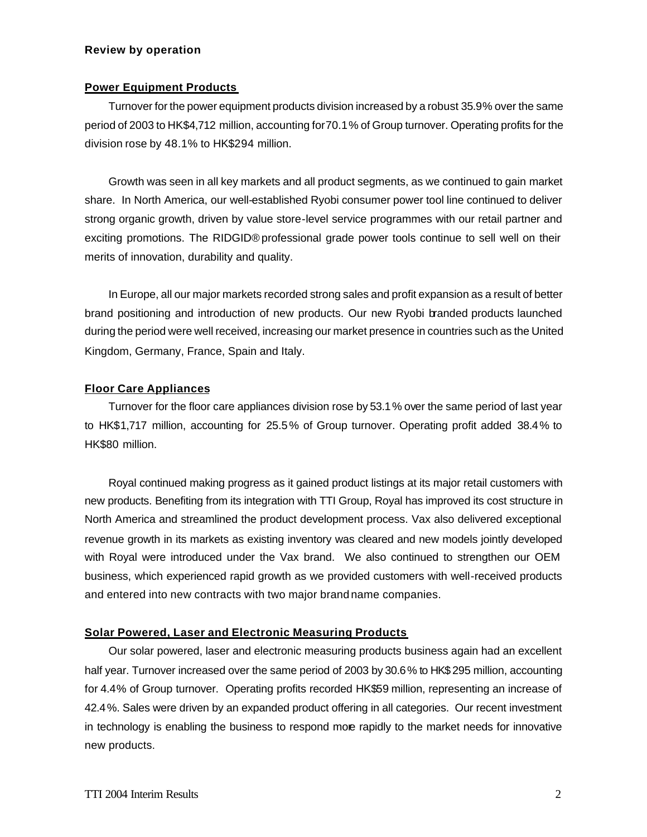#### **Review by operation**

#### **Power Equipment Products**

Turnover for the power equipment products division increased by a robust 35.9% over the same period of 2003 to HK\$4,712 million, accounting for 70.1% of Group turnover. Operating profits for the division rose by 48.1% to HK\$294 million.

Growth was seen in all key markets and all product segments, as we continued to gain market share. In North America, our well-established Ryobi consumer power tool line continued to deliver strong organic growth, driven by value store-level service programmes with our retail partner and exciting promotions. The RIDGID® professional grade power tools continue to sell well on their merits of innovation, durability and quality.

In Europe, all our major markets recorded strong sales and profit expansion as a result of better brand positioning and introduction of new products. Our new Ryobi branded products launched during the period were well received, increasing our market presence in countries such as the United Kingdom, Germany, France, Spain and Italy.

## **Floor Care Appliances**

Turnover for the floor care appliances division rose by 53.1% over the same period of last year to HK\$1,717 million, accounting for 25.5% of Group turnover. Operating profit added 38.4% to HK\$80 million.

Royal continued making progress as it gained product listings at its major retail customers with new products. Benefiting from its integration with TTI Group, Royal has improved its cost structure in North America and streamlined the product development process. Vax also delivered exceptional revenue growth in its markets as existing inventory was cleared and new models jointly developed with Royal were introduced under the Vax brand. We also continued to strengthen our OEM business, which experienced rapid growth as we provided customers with well-received products and entered into new contracts with two major brand name companies.

## **Solar Powered, Laser and Electronic Measuring Products**

Our solar powered, laser and electronic measuring products business again had an excellent half year. Turnover increased over the same period of 2003 by 30.6% to HK\$ 295 million, accounting for 4.4% of Group turnover. Operating profits recorded HK\$59 million, representing an increase of 42.4%. Sales were driven by an expanded product offering in all categories. Our recent investment in technology is enabling the business to respond more rapidly to the market needs for innovative new products.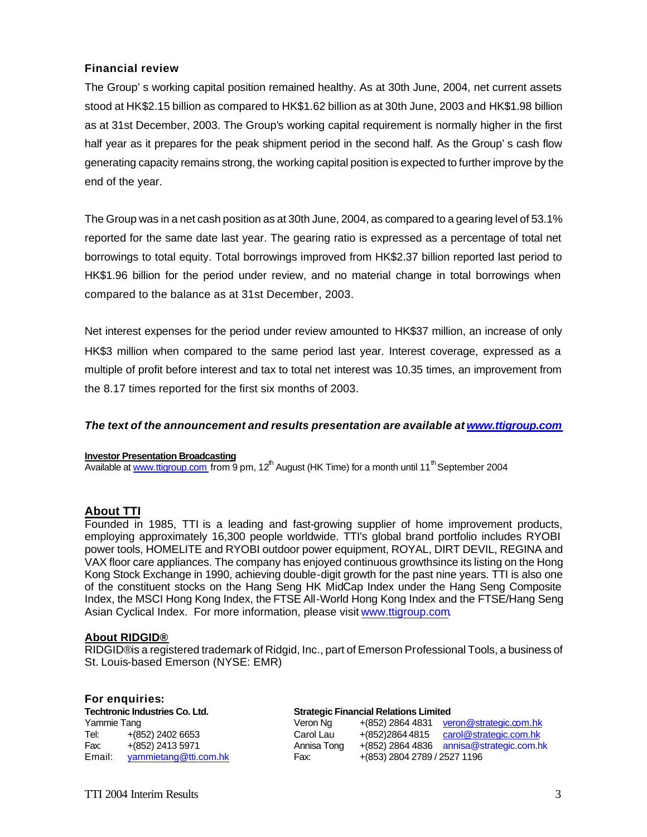## **Financial review**

The Group's working capital position remained healthy. As at 30th June, 2004, net current assets stood at HK\$2.15 billion as compared to HK\$1.62 billion as at 30th June, 2003 and HK\$1.98 billion as at 31st December, 2003. The Group's working capital requirement is normally higher in the first half year as it prepares for the peak shipment period in the second half. As the Group's cash flow generating capacity remains strong, the working capital position is expected to further improve by the end of the year.

The Group was in a net cash position as at 30th June, 2004, as compared to a gearing level of 53.1% reported for the same date last year. The gearing ratio is expressed as a percentage of total net borrowings to total equity. Total borrowings improved from HK\$2.37 billion reported last period to HK\$1.96 billion for the period under review, and no material change in total borrowings when compared to the balance as at 31st December, 2003.

Net interest expenses for the period under review amounted to HK\$37 million, an increase of only HK\$3 million when compared to the same period last year. Interest coverage, expressed as a multiple of profit before interest and tax to total net interest was 10.35 times, an improvement from the 8.17 times reported for the first six months of 2003.

## *The text of the announcement and results presentation are available at www.ttigroup.com*

#### **Investor Presentation Broadcasting**

Available at www.ttigroup.com from 9 pm,  $12<sup>th</sup>$  August (HK Time) for a month until 11<sup>th</sup> September 2004

## **About TTI**

Founded in 1985, TTI is a leading and fast-growing supplier of home improvement products, employing approximately 16,300 people worldwide. TTI's global brand portfolio includes RYOBI power tools, HOMELITE and RYOBI outdoor power equipment, ROYAL, DIRT DEVIL, REGINA and VAX floor care appliances. The company has enjoyed continuous growth since its listing on the Hong Kong Stock Exchange in 1990, achieving double-digit growth for the past nine years. TTI is also one of the constituent stocks on the Hang Seng HK MidCap Index under the Hang Seng Composite Index, the MSCI Hong Kong Index, the FTSE All-World Hong Kong Index and the FTSE/Hang Seng Asian Cyclical Index. For more information, please visit www.ttigroup.com.

#### **About RIDGID®**

**For enquiries:**

RIDGID® is a registered trademark of Ridgid, Inc., part of Emerson Professional Tools, a business of St. Louis-based Emerson (NYSE: EMR)

|                                       | <b>I</b> VI GIIYUIIIGS. |             |                                              |                                            |  |  |
|---------------------------------------|-------------------------|-------------|----------------------------------------------|--------------------------------------------|--|--|
| <b>Techtronic Industries Co. Ltd.</b> |                         |             | <b>Strategic Financial Relations Limited</b> |                                            |  |  |
| Yammie Tang                           |                         | Veron Na    |                                              | $+(852)$ 2864 4831 veron@strategic.com.hk  |  |  |
| Tel:                                  | +(852) 2402 6653        | Carol Lau   |                                              | +(852)2864 4815 carol@strategic.com.hk     |  |  |
| Fax:                                  | +(852) 2413 5971        | Annisa Tong |                                              | $+(852)$ 2864 4836 annisa@strategic.com.hk |  |  |
| Email:                                | yammietang@tti.com.hk   | Fax:        | +(853) 2804 2789 / 2527 1196                 |                                            |  |  |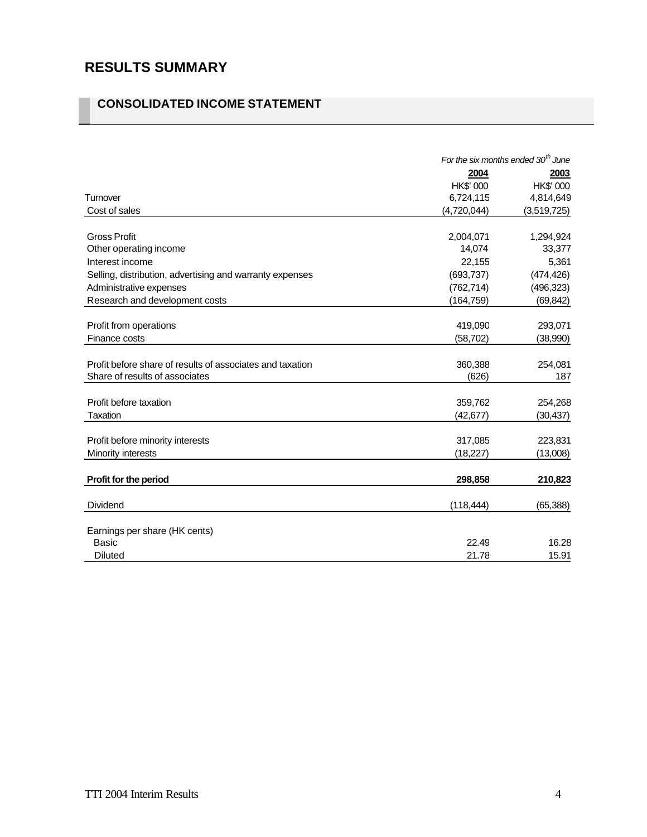# **RESULTS SUMMARY**

# **CONSOLIDATED INCOME STATEMENT**

|                                                           | For the six months ended $30th$ June |             |
|-----------------------------------------------------------|--------------------------------------|-------------|
|                                                           | 2004                                 | 2003        |
|                                                           | HK\$' 000                            | HK\$' 000   |
| Turnover                                                  | 6,724,115                            | 4,814,649   |
| Cost of sales                                             | (4,720,044)                          | (3,519,725) |
|                                                           |                                      |             |
| <b>Gross Profit</b>                                       | 2,004,071                            | 1,294,924   |
| Other operating income                                    | 14,074                               | 33,377      |
| Interest income                                           | 22,155                               | 5,361       |
| Selling, distribution, advertising and warranty expenses  | (693, 737)                           | (474, 426)  |
| Administrative expenses                                   | (762, 714)                           | (496, 323)  |
| Research and development costs                            | (164, 759)                           | (69, 842)   |
|                                                           |                                      |             |
| Profit from operations                                    | 419,090                              | 293,071     |
| Finance costs                                             | (58, 702)                            | (38,990)    |
|                                                           |                                      |             |
| Profit before share of results of associates and taxation | 360,388                              | 254,081     |
| Share of results of associates                            | (626)                                | 187         |
|                                                           |                                      |             |
| Profit before taxation                                    | 359,762                              | 254,268     |
| Taxation                                                  | (42, 677)                            | (30, 437)   |
|                                                           |                                      |             |
| Profit before minority interests                          | 317,085                              | 223,831     |
| Minority interests                                        | (18, 227)                            | (13,008)    |
|                                                           |                                      |             |
| Profit for the period                                     | 298,858                              | 210,823     |
|                                                           |                                      |             |
| <b>Dividend</b>                                           | (118, 444)                           | (65, 388)   |
|                                                           |                                      |             |
| Earnings per share (HK cents)<br><b>Basic</b>             | 22.49                                | 16.28       |
| <b>Diluted</b>                                            | 21.78                                | 15.91       |
|                                                           |                                      |             |